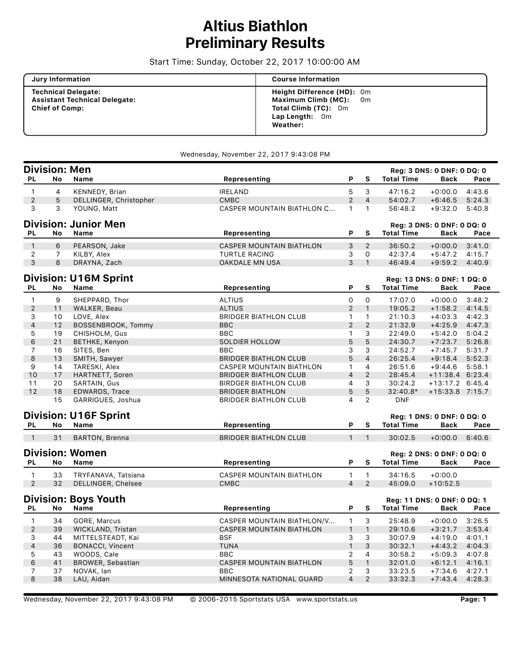# **Altius Biathlon Preliminary Results**

Start Time: Sunday, October 22, 2017 10:00:00 AM

| <b>Jury Information</b>                                                                     | <b>Course Information</b>                                                                                  |
|---------------------------------------------------------------------------------------------|------------------------------------------------------------------------------------------------------------|
| <b>Technical Delegate:</b><br><b>Assistant Technical Delegate:</b><br><b>Chief of Comp:</b> | Height Difference (HD): 0m<br>Maximum Climb (MC): Om<br>Total Climb (TC): 0m<br>Lap Length: 0m<br>Weather: |

#### Wednesday, November 22, 2017 9:43:08 PM

|                            |                | <b>Division: Men</b>         |                                   |                |                |                   | Reg: 3 DNS: 0 DNF: 0 DQ: 0         |        |
|----------------------------|----------------|------------------------------|-----------------------------------|----------------|----------------|-------------------|------------------------------------|--------|
| PL                         | No             | Name                         | Representing                      | P              | S              | <b>Total Time</b> | <b>Back</b>                        | Pace   |
| $\mathbf{1}$               | 4              | KENNEDY, Brian               | <b>IRELAND</b>                    | 5              | 3              | 47:16.2           | $+0:00.0$                          | 4:43.6 |
| 2                          | 5              | DELLINGER, Christopher       | <b>CMBC</b>                       | $\overline{2}$ | $\overline{4}$ | 54:02.7           | $+6:46.5$                          | 5:24.3 |
| 3                          | 3              | YOUNG, Matt                  | <b>CASPER MOUNTAIN BIATHLON C</b> | $\mathbf{1}$   | $\mathbf{1}$   | 56:48.2           | $+9:32.0$                          | 5:40.8 |
|                            |                | <b>Division: Junior Men</b>  |                                   |                |                |                   | Reg: 3 DNS: 0 DNF: 0 DQ: 0         |        |
| PL                         | No             | Name                         | Representing                      | P              | S              | <b>Total Time</b> | Back                               | Pace   |
| $\mathbf{1}$               | 6              | PEARSON, Jake                | <b>CASPER MOUNTAIN BIATHLON</b>   | 3              | 2              | 36:50.2           | $+0:00.0$                          | 3:41.0 |
| $\mathbf{2}$               | $\overline{7}$ | KILBY, Alex                  | <b>TURTLE RACING</b>              | 3              | 0              | 42:37.4           | $+5:47.2$                          | 4:15.7 |
| 3                          | 8              | DRAYNA, Zach                 | OAKDALE MN USA                    | 3              | $\mathbf{1}$   | 46:49.4           | $+9:59.2$                          | 4:40.9 |
|                            |                | <b>Division: U16M Sprint</b> |                                   |                |                |                   |                                    |        |
|                            |                |                              |                                   |                |                |                   | <b>Reg: 13 DNS: 0 DNF: 1 DQ: 0</b> |        |
| PL                         | No             | <b>Name</b>                  | Representing                      | P              | S              | <b>Total Time</b> | <b>Back</b>                        | Pace   |
| $\mathbf{1}$               | 9              | SHEPPARD, Thor               | <b>ALTIUS</b>                     | $\mathsf{O}$   | 0              | 17:07.0           | $+0:00.0$                          | 3:48.2 |
| $\overline{2}$             | 11             | WALKER, Beau                 | <b>ALTIUS</b>                     | $\overline{2}$ | $\mathbf{1}$   | 19:05.2           | $+1:58.2$                          | 4:14.5 |
| 3                          | 10             | LOVE, Alex                   | <b>BRIDGER BIATHLON CLUB</b>      | $\mathbf{1}$   | $\mathbf{1}$   | 21:10.3           | $+4:03.3$                          | 4:42.3 |
| 4                          | 12             | BOSSENBROOK, Tommy           | <b>BBC</b>                        | $\overline{2}$ | $\overline{2}$ | 21:32.9           | $+4:25.9$                          | 4:47.3 |
| 5                          | 19             | CHISHOLM, Gus                | <b>BBC</b>                        | $\mathbf{1}$   | 3              | 22:49.0           | +5:42.0                            | 5:04.2 |
| 6                          | 21             | <b>BETHKE, Kenyon</b>        | <b>SOLDIER HOLLOW</b>             | 5              | 5              | 24:30.7           | $+7:23.7$                          | 5:26.8 |
| $\overline{7}$             | 16             | SITES, Ben                   | <b>BBC</b>                        | 3              | $\overline{3}$ | 24:52.7           | $+7:45.7$                          | 5:31.7 |
| 8                          | 13             | SMITH, Sawyer                | <b>BRIDGER BIATHLON CLUB</b>      | 5              | $\overline{4}$ | 26:25.4           | $+9:18.4$                          | 5:52.3 |
| 9                          | 14             | TARESKI, Alex                | CASPER MOUNTAIN BIATHLON          | $\mathbf{1}$   | 4              | 26:51.6           | +9:44.6                            | 5:58.1 |
| 10                         | 17             | HARTNETT, Soren              | <b>BRIDGER BIATHLON CLUB</b>      | $\overline{4}$ | 2              | 28:45.4           | +11:38.4 6:23.4                    |        |
| 11                         | 20             | SARTAIN, Gus                 | <b>BIRDGER BIATHLON CLUB</b>      | 4              | 3              | 30:24.2           | +13:17.2 6:45.4                    |        |
| 12                         | 18             | <b>EDWARDS, Trace</b>        | <b>BRIDGER BIATHLON</b>           | 5              | 5              | 32:40.8*          | +15:33.8 7:15.7                    |        |
|                            | 15             | GARRIGUES, Joshua            | <b>BRIDGER BIATHLON CLUB</b>      | 4              | 2              | <b>DNF</b>        |                                    |        |
|                            |                | <b>Division: U16F Sprint</b> |                                   |                |                |                   | Reg: 1 DNS: 0 DNF: 0 DQ: 0         |        |
| PL                         | No             | Name                         | Representing                      | P              | S              | <b>Total Time</b> | <b>Back</b>                        | Pace   |
| $\overline{\phantom{0}}$ 1 | 31             | <b>BARTON, Brenna</b>        | <b>BRIDGER BIATHLON CLUB</b>      | $\mathbf{1}$   | $\mathbf{1}$   | 30:02.5           | $+0:00.0$                          | 6:40.6 |
|                            |                |                              |                                   |                |                |                   |                                    |        |
|                            |                | <b>Division: Women</b>       |                                   |                |                |                   | Reg: 2 DNS: 0 DNF: 0 DQ: 0         |        |
| PL                         | No             | Name                         | Representing                      | P              | S              | <b>Total Time</b> | <b>Back</b>                        | Pace   |
| $\mathbf{1}$               | 33             | TRYFANAVA, Tatsiana          | <b>CASPER MOUNTAIN BIATHLON</b>   | $\mathbf{1}$   | $\mathbf{1}$   | 34:16.5           | $+0:00.0$                          |        |
| 2                          | 32             | DELLINGER, Chelsee           | <b>CMBC</b>                       | $\overline{4}$ | 2              | 45:09.0           | $+10:52.5$                         |        |
|                            |                |                              |                                   |                |                |                   |                                    |        |
|                            |                | <b>Division: Boys Youth</b>  |                                   |                |                |                   | Reg: 11 DNS: 0 DNF: 0 DQ: 1        |        |
| PL                         | No             | Name                         | Representing                      | P              | S              | <b>Total Time</b> | <b>Back</b>                        | Pace   |
| $\mathbf{1}$               | 34             | GORE, Marcus                 | CASPER MOUNTAIN BIATHLON/V        | $\mathbf{1}$   | 3              | 25:48.9           | $+0:00.0$                          | 3:26.5 |
| $\overline{2}$             | 39             | WICKLAND, Tristan            | CASPER MOUNTAIN BIATHLON          | $\mathbf{1}$   | $\mathbf{1}$   | 29:10.6           | $+3:21.7$                          | 3:53.4 |
| 3                          | 44             | MITTELSTEADT, Kai            | <b>BSF</b>                        | 3              | 3              | 30:07.9           | $+4:19.0$                          | 4:01.1 |
| $\overline{4}$             | 36             | <b>BONACCI, Vincent</b>      | <b>TUNA</b>                       | $\mathbf{1}$   | 3              | 30:32.1           | $+4:43.2$                          | 4:04.3 |
| 5                          | 43             | WOODS, Cale                  | <b>BBC</b>                        | $\overline{2}$ | 4              | 30:58.2           | $+5:09.3$                          | 4:07.8 |
| 6                          | 41             | BROWER, Sebastian            | <b>CASPER MOUNTAIN BIATHLON</b>   | 5              | $\mathbf{1}$   | 32:01.0           | $+6:12.1$                          | 4:16.1 |
| $\overline{7}$             | 37             | NOVAK, lan                   | <b>BBC</b>                        | $\overline{2}$ | 3              | 33:23.5           | $+7:34.6$                          | 4:27.1 |
| 8                          | 38             | LAU, Aidan                   | MINNESOTA NATIONAL GUARD          | 4              | $\overline{2}$ | 33:32.3           | $+7:43.4$                          | 4:28.3 |
|                            |                |                              |                                   |                |                |                   |                                    |        |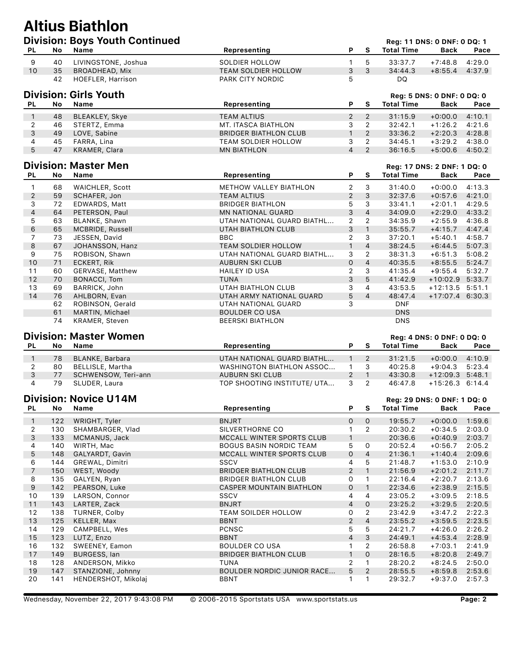## **Altius Biathlon Division: Boys Youth Continued Reg: 11 DNS: 0 DNF: 0 DQ: 1**

| <b>PL</b>      | No        | Name                          | Representing                 | P              | S              | <b>Total Time</b>           | <b>Back</b>                | Pace   |
|----------------|-----------|-------------------------------|------------------------------|----------------|----------------|-----------------------------|----------------------------|--------|
| 9              | 40        | LIVINGSTONE, Joshua           | <b>SOLDIER HOLLOW</b>        | 1              | 5              | 33:37.7                     | $+7:48.8$                  | 4:29.0 |
| 10             | 35        | BROADHEAD, Mix                | <b>TEAM SOLDIER HOLLOW</b>   | 3              | 3              | 34:44.3                     | $+8:55.4$                  | 4:37.9 |
|                | 42        | HOEFLER, Harrison             | PARK CITY NORDIC             | 5              |                | DQ                          |                            |        |
|                |           | <b>Division: Girls Youth</b>  |                              |                |                |                             | Reg: 5 DNS: 0 DNF: 0 DQ: 0 |        |
| PL             | No.       | <b>Name</b>                   | Representing                 | P              | S              | <b>Total Time</b>           | <b>Back</b>                | Pace   |
|                |           |                               |                              |                |                |                             |                            |        |
| $\mathbf{1}$   | 48        | BLEAKLEY, Skye                | <b>TEAM ALTIUS</b>           | $\overline{2}$ | 2              | 31:15.9                     | $+0:00.0$                  | 4:10.1 |
| 2              | 46        | STERTZ, Emma                  | MT. ITASCA BIATHLON          | 3              | $\overline{2}$ | 32:42.1                     | $+1:26.2$                  | 4:21.6 |
| 3              | 49        | LOVE, Sabine                  | <b>BRIDGER BIATHLON CLUB</b> | $\mathbf{1}$   | $\overline{2}$ | 33:36.2                     | $+2:20.3$                  | 4:28.8 |
| 4              | 45        | FARRA, Lina                   | TEAM SOLDIER HOLLOW          | 3              | $\overline{2}$ | 34:45.1                     | $+3:29.2$                  | 4:38.0 |
| 5              | 47        | KRAMER, Clara                 | <b>MN BIATHLON</b>           | $\overline{4}$ | 2              | 36:16.5                     | $+5:00.6$                  | 4:50.2 |
|                |           | <b>Division: Master Men</b>   |                              |                |                |                             |                            |        |
|                |           |                               |                              |                |                | Reg: 17 DNS: 2 DNF: 1 DQ: 0 |                            |        |
| PL             | No.       | Name                          | Representing                 | P              | S              | <b>Total Time</b>           | <b>Back</b>                | Pace   |
| 1              | 68        | WAICHLER, Scott               | METHOW VALLEY BIATHLON       | $\overline{2}$ | 3              | 31:40.0                     | $+0:00.0$                  | 4:13.3 |
| $\mathbf{2}$   | 59        | SCHAFER, Jon                  | <b>TEAM ALTIUS</b>           | $\overline{2}$ | 3              | 32:37.6                     | $+0:57.6$                  | 4:21.0 |
| 3              | 72        | EDWARDS, Matt                 | <b>BRIDGER BIATHLON</b>      | 5              | 3              | 33:41.1                     | $+2:01.1$                  | 4:29.5 |
| $\overline{4}$ | 64        | PETERSON, Paul                | <b>MN NATIONAL GUARD</b>     | 3              | $\overline{4}$ | 34:09.0                     | $+2:29.0$                  | 4:33.2 |
| 5              | 63        | BLANKE, Shawn                 | UTAH NATIONAL GUARD BIATHL   | $\overline{2}$ | $\overline{2}$ | 34:35.9                     | $+2:55.9$                  | 4:36.8 |
| 6              | 65        | MCBRIDE, Russell              | UTAH BIATHLON CLUB           | 3              | $\mathbf{1}$   | 35:55.7                     | $+4:15.7$                  | 4:47.4 |
| $\overline{7}$ | 73        | JESSEN, David                 | <b>BBC</b>                   | 2              | 3              | 37:20.1                     | $+5:40.1$                  | 4:58.7 |
| 8              | 67        | JOHANSSON, Hanz               | <b>TEAM SOLDIER HOLLOW</b>   | $\mathbf{1}$   | $\overline{4}$ | 38:24.5                     | $+6:44.5$                  | 5:07.3 |
| 9              | 75        | ROBISON, Shawn                | UTAH NATIONAL GUARD BIATHL   | 3              | $\overline{2}$ | 38:31.3                     | $+6:51.3$                  | 5:08.2 |
| 10             | 71        | <b>ECKERT, Rik</b>            | <b>AUBURN SKI CLUB</b>       | $\mathsf{O}$   | $\overline{4}$ | 40:35.5                     | $+8:55.5$                  | 5:24.7 |
| 11             | 60        | GERVASE, Matthew              | <b>HAILEY ID USA</b>         | $\overline{2}$ | 3              | 41:35.4                     | $+9:55.4$                  | 5:32.7 |
| 12             | 70        | <b>BONACCI, Tom</b>           | <b>TUNA</b>                  | 3              | 5              | 41:42.9                     | $+10:02.9$                 | 5:33.7 |
| 13             | 69        | BARRICK, John                 | <b>UTAH BIATHLON CLUB</b>    | 3              | $\overline{4}$ | 43:53.5                     | +12:13.5 5:51.1            |        |
| 14             | 76        | AHLBORN, Evan                 | UTAH ARMY NATIONAL GUARD     | 5              | $\overline{4}$ | 48:47.4                     | +17:07.4 6:30.3            |        |
|                | 62        | ROBINSON, Gerald              | UTAH NATIONAL GUARD          | 3              |                | <b>DNF</b>                  |                            |        |
|                | 61        | MARTIN, Michael               | <b>BOULDER CO USA</b>        |                |                | <b>DNS</b>                  |                            |        |
|                | 74        | <b>KRAMER, Steven</b>         | <b>BEERSKI BIATHLON</b>      |                |                | <b>DNS</b>                  |                            |        |
|                |           |                               |                              |                |                |                             |                            |        |
|                |           | <b>Division: Master Women</b> |                              |                |                | Reg: 4 DNS: 0 DNF: 0 DQ: 0  |                            |        |
| PL             | <b>No</b> | <b>Name</b>                   | Representing                 | P              | S              | <b>Total Time</b>           | <b>Back</b>                | Pace   |
| $\mathbf{1}$   | 78        | BLANKE, Barbara               | UTAH NATIONAL GUARD BIATHL   | $\mathbf{1}$   | $\overline{2}$ | 31:21.5                     | $+0:00.0$                  | 4:10.9 |

|    | 78 BLANKE, Barbara  | UTAH NATIONAL GUARD BIATHL  |     | 31:21.5 | $+0:00.0$         | 4:10.9 |
|----|---------------------|-----------------------------|-----|---------|-------------------|--------|
| 80 | BELLISLE, Martha    | WASHINGTON BIATHLON ASSOC   |     | 40:25.8 | $+9:04.3$ 5:23.4  |        |
| 77 | SCHWENSOW, Teri-ann | AUBURN SKI CLUB             |     | 43:30.8 | $+12:09.3$ 5:48.1 |        |
| 79 | SLUDER, Laura       | TOP SHOOTING INSTITUTE/ UTA | 3 2 | 46:47.8 | +15:26.3 6:14.4   |        |

#### **Division: Novice U14M Division: Novice U14M Reg: 29 DNS: 0 DNF: 1 DQ: 0**

| <b>PL</b> | No. | Name                | Representing                      | P        | S.             | <b>Total Time</b> | Back      | Pace   |
|-----------|-----|---------------------|-----------------------------------|----------|----------------|-------------------|-----------|--------|
| 1         | 122 | WRIGHT, Tyler       | <b>BNJRT</b>                      | $\Omega$ | $\Omega$       | 19:55.7           | $+0:00.0$ | 1:59.6 |
| 2         | 130 | SHAMBARGER, Vlad    | SILVERTHORNE CO                   |          | $\overline{2}$ | 20:30.2           | $+0:34.5$ | 2:03.0 |
| 3         | 133 | MCMANUS, Jack       | MCCALL WINTER SPORTS CLUB         | 1        |                | 20:36.6           | $+0:40.9$ | 2:03.7 |
| 4         | 140 | WIRTH, Mac          | <b>BOGUS BASIN NORDIC TEAM</b>    | 5        | 0              | 20:52.4           | $+0:56.7$ | 2:05.2 |
| 5         | 148 | GALYARDT, Gavin     | MCCALL WINTER SPORTS CLUB         | 0        | 4              | 21:36.1           | $+1:40.4$ | 2:09.6 |
| 6         | 144 | GREWAL, Dimitri     | SSCV                              | 4        | 5              | 21:48.7           | $+1:53.0$ | 2:10.9 |
| 7         | 150 | WEST, Woody         | <b>BRIDGER BIATHLON CLUB</b>      | 2        | $\mathbf{1}$   | 21:56.9           | $+2:01.2$ | 2:11.7 |
| 8         | 135 | GALYEN, Ryan        | <b>BRIDGER BIATHLON CLUB</b>      | 0        |                | 22:16.4           | $+2:20.7$ | 2:13.6 |
| 9         | 142 | PEARSON, Luke       | <b>CASPER MOUNTAIN BIATHLON</b>   | 0        | 1              | 22:34.6           | $+2:38.9$ | 2:15.5 |
| 10        | 139 | LARSON, Connor      | <b>SSCV</b>                       | 4        | 4              | 23:05.2           | $+3:09.5$ | 2:18.5 |
| 11        | 143 | LARTER, Zack        | <b>BNJRT</b>                      | 4        | $\mathsf{O}$   | 23:25.2           | $+3:29.5$ | 2:20.5 |
| 12        | 138 | TURNER, Colby       | TEAM SOILDER HOLLOW               | 0        | $\overline{2}$ | 23:42.9           | $+3:47.2$ | 2:22.3 |
| 13        | 125 | KELLER, Max         | <b>BBNT</b>                       | 2        | $\overline{4}$ | 23:55.2           | $+3:59.5$ | 2:23.5 |
| 14        | 129 | CAMPBELL, Wes       | <b>PCNSC</b>                      | 5        | 5              | 24:21.7           | +4:26.0   | 2:26.2 |
| 15        | 123 | LUTZ, Enzo          | <b>BBNT</b>                       | 4        | 3              | 24:49.1           | $+4:53.4$ | 2:28.9 |
| 16        | 132 | SWEENEY, Eamon      | <b>BOULDER CO USA</b>             |          | $\overline{2}$ | 26:58.8           | $+7:03.1$ | 2:41.9 |
| 17        | 149 | <b>BURGESS, lan</b> | <b>BRIDGER BIATHLON CLUB</b>      |          | 0              | 28:16.5           | $+8:20.8$ | 2:49.7 |
| 18        | 128 | ANDERSON, Mikko     | TUNA                              | 2        |                | 28:20.2           | $+8:24.5$ | 2:50.0 |
| 19        | 147 | STANZIONE, Johnny   | <b>BOULDER NORDIC JUNIOR RACE</b> | 5        | $\overline{2}$ | 28:55.5           | $+8:59.8$ | 2:53.6 |
| 20        | 141 | HENDERSHOT, Mikolaj | <b>BBNT</b>                       |          |                | 29:32.7           | +9:37.0   | 2:57.3 |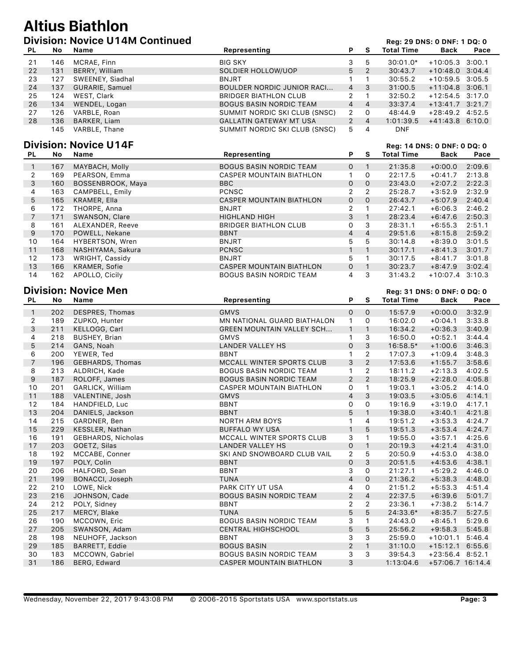#### **Altius Biathlon Digital Division: Novice UNAM Continued Register and Decision Page: 29 DNS: 0 DNF: 1 D**

|     |     | <b>PIVISION. NOVICE O TAM CONTINUED</b> |                                |                |                |                   | Red: 29 DNS: 0 DNF: 1 DQ: 0 |      |
|-----|-----|-----------------------------------------|--------------------------------|----------------|----------------|-------------------|-----------------------------|------|
| PL. | No. | Name                                    | Representing                   |                | P S            | <b>Total Time</b> | <b>Back</b>                 | Pace |
| 21  | 146 | MCRAE, Finn                             | <b>BIG SKY</b>                 | 3              | 5              | $30:01.0*$        | $+10:05.3$ 3:00.1           |      |
| 22  | 131 | BERRY, William                          | SOLDIER HOLLOW/UOP             | 5              | $-2$           | 30:43.7           | $+10:48.0$ 3:04.4           |      |
| 23  | 127 | SWEENEY, Siadhal                        | BNJRT                          |                |                | 30:55.2           | $+10:59.5$ 3:05.5           |      |
| 24  | 137 | <b>GURARIE, Samuel</b>                  | BOULDER NORDIC JUNIOR RACI     |                | $4 \quad 3$    | 31:00.5           | $+11:04.8$ 3:06.1           |      |
| 25  | 124 | WEST, Clark                             | BRIDGER BIATHLON CLUB          | $\mathcal{P}$  | $\overline{1}$ | 32:50.2           | $+12:54.5$ 3:17.0           |      |
| 26  | 134 | WENDEL, Logan                           | <b>BOGUS BASIN NORDIC TEAM</b> | 4              | $\overline{a}$ | 33:37.4           | $+13:41.7$ $3:21.7$         |      |
| 27  | 126 | VARBLE, Roan                            | SUMMIT NORDIC SKI CLUB (SNSC)  | 2              | $\circ$        | 48:44.9           | $+28:49.2$ 4:52.5           |      |
| 28  | 136 | BARKER, Liam                            | <b>GALLATIN GATEWAY MT USA</b> | $\overline{2}$ | $\overline{4}$ | 1:01:39.5         | $+41:43.8$ 6:10.0           |      |
|     | 145 | VARBLE, Thane                           | SUMMIT NORDIC SKI CLUB (SNSC)  | 5              | 4              | <b>DNF</b>        |                             |      |

#### **Division: Novice U14F Division: Novice U14F Register All DNS: 0 DNF: 0 DQ: 0**

|                |     | <b>דד ט טטויטוני ווטוכועו</b> |                                 |                |                |                   | <b>Red. 14 DNS. 0 DNF. 0 DQ. 0</b> |        |
|----------------|-----|-------------------------------|---------------------------------|----------------|----------------|-------------------|------------------------------------|--------|
| PL.            | No. | Name                          | Representing                    | P              | S.             | <b>Total Time</b> | Back                               | Pace   |
| 1              | 167 | MAYBACH, Molly                | <b>BOGUS BASIN NORDIC TEAM</b>  | 0              |                | 21:35.8           | $+0:00.0$                          | 2:09.6 |
| 2              | 169 | PEARSON, Emma                 | CASPER MOUNTAIN BIATHLON        | $\mathbf{1}$   | 0              | 22:17.5           | $+0:41.7$                          | 2:13.8 |
| 3              | 160 | BOSSENBROOK, Maya             | BBC                             | 0              | $\Omega$       | 23:43.0           | $+2:07.2$                          | 2:22.3 |
| 4              | 163 | CAMPBELL, Emily               | <b>PCNSC</b>                    | $\overline{2}$ | 2              | 25:28.7           | $+3:52.9$                          | 2:32.9 |
| 5              | 165 | KRAMER, Ella                  | <b>CASPER MOUNTAIN BIATHLON</b> | 0              | $\Omega$       | 26:43.7           | $+5:07.9$                          | 2:40.4 |
| 6              | 172 | THORPE, Anna                  | <b>BNJRT</b>                    | $\mathcal{P}$  |                | 27:42.1           | $+6:06.3$                          | 2:46.2 |
| $\overline{7}$ | 171 | SWANSON, Clare                | <b>HIGHLAND HIGH</b>            | 3              |                | 28:23.4           | $+6:47.6$                          | 2:50.3 |
| 8              | 161 | ALEXANDER, Reeve              | <b>BRIDGER BIATHLON CLUB</b>    | 0              | 3              | 28:31.1           | $+6:55.3$                          | 2:51.1 |
| 9              | 170 | POWELL, Nekane                | <b>BBNT</b>                     | 4              | $\overline{4}$ | 29:51.6           | $+8:15.8$                          | 2:59.2 |
| 10             | 164 | HYBERTSON, Wren               | <b>BNJRT</b>                    | 5              | 5              | 30:14.8           | $+8:39.0$                          | 3:01.5 |
| 11             | 168 | NASHIYAMA, Sakura             | <b>PCNSC</b>                    |                |                | 30:17.1           | $+8:41.3$                          | 3:01.7 |
| 12             | 173 | WRIGHT, Cassidy               | <b>BNJRT</b>                    | 5.             |                | 30:17.5           | $+8:41.7$                          | 3:01.8 |
| 13             | 166 | KRAMER, Sofie                 | CASPER MOUNTAIN BIATHLON        | 0              |                | 30:23.7           | $+8:47.9$                          | 3:02.4 |
| 14             | 162 | APOLLO, Cicily                | <b>BOGUS BASIN NORDIC TEAM</b>  | 4              | 3              | 31:43.2           | $+10:07.4$ 3:10.3                  |        |

### **Division: Novice Men** *Reg: 31 DNS: 0 DNF: 0 DQ: 0*

| PL           | No  | <b>Name</b>               | Representing                     | P              | S              | <b>Total Time</b> | <b>Back</b>       | Pace   |
|--------------|-----|---------------------------|----------------------------------|----------------|----------------|-------------------|-------------------|--------|
| $\mathbf{1}$ | 202 | DESPRES, Thomas           | <b>GMVS</b>                      | $\mathbf{O}$   | $\mathsf{O}$   | 15:57.9           | $+0:00.0$         | 3:32.9 |
| 2            | 189 | ZUPKO, Hunter             | MN NATIONAL GUARD BIATHALON      | $\mathbf{1}$   | 0              | 16:02.0           | $+0:04.1$         | 3:33.8 |
| 3            | 211 | KELLOGG, Carl             | <b>GREEN MOUNTAIN VALLEY SCH</b> | $\mathbf{1}$   | $\mathbf{1}$   | 16:34.2           | $+0:36.3$         | 3:40.9 |
| 4            | 218 | <b>BUSHEY, Brian</b>      | <b>GMVS</b>                      | 1              | 3              | 16:50.0           | $+0:52.1$         | 3:44.4 |
| 5            | 214 | GANS, Noah                | <b>LANDER VALLEY HS</b>          | $\mathbf{O}$   | 3              | $16:58.5*$        | $+1:00.6$         | 3:46.3 |
| 6            | 200 | YEWER, Ted                | <b>BBNT</b>                      |                | $\overline{2}$ | 17:07.3           | $+1:09.4$         | 3:48.3 |
| 7            | 196 | GEBHARDS, Thomas          | MCCALL WINTER SPORTS CLUB        | 3              | $\overline{2}$ | 17:53.6           | $+1:55.7$         | 3:58.6 |
| 8            | 213 | ALDRICH, Kade             | <b>BOGUS BASIN NORDIC TEAM</b>   | $\mathbf{1}$   | $\overline{2}$ | 18:11.2           | $+2:13.3$         | 4:02.5 |
| 9            | 187 | ROLOFF, James             | <b>BOGUS BASIN NORDIC TEAM</b>   | $\overline{2}$ | 2              | 18:25.9           | $+2:28.0$         | 4:05.8 |
| 10           | 201 | GARLICK, William          | <b>CASPER MOUNTAIN BIATHLON</b>  | 0              | $\mathbf{1}$   | 19:03.1           | $+3:05.2$         | 4:14.0 |
| 11           | 188 | VALENTINE, Josh           | <b>GMVS</b>                      | 4              | 3              | 19:03.5           | $+3:05.6$         | 4:14.1 |
| 12           | 184 | HANDFIELD, Luc            | <b>BBNT</b>                      | 0              | 0              | 19:16.9           | $+3:19.0$         | 4:17.1 |
| 13           | 204 | DANIELS, Jackson          | <b>BBNT</b>                      | 5              | $\mathbf{1}$   | 19:38.0           | $+3:40.1$         | 4:21.8 |
| 14           | 215 | GARDNER, Ben              | <b>NORTH ARM BOYS</b>            | 1              | 4              | 19:51.2           | $+3:53.3$         | 4:24.7 |
| 15           | 229 | KESSLER, Nathan           | <b>BUFFALO WY USA</b>            | $\mathbf{1}$   | 5              | 19:51.3           | $+3:53.4$         | 4:24.7 |
| 16           | 191 | <b>GEBHARDS, Nicholas</b> | MCCALL WINTER SPORTS CLUB        | 3              | 1              | 19:55.0           | $+3:57.1$         | 4:25.6 |
| 17           | 203 | GOETZ, Silas              | <b>LANDER VALLEY HS</b>          | $\mathsf{O}$   | $\mathbf{1}$   | 20:19.3           | $+4:21.4$         | 4:31.0 |
| 18           | 192 | MCCABE, Conner            | SKI AND SNOWBOARD CLUB VAIL      | 2              | 5              | 20:50.9           | $+4:53.0$         | 4:38.0 |
| 19           | 197 | POLY, Colin               | <b>BBNT</b>                      | 0              | 3              | 20:51.5           | $+4:53.6$         | 4:38.1 |
| 20           | 206 | HALFORD, Sean             | <b>BBNT</b>                      | 3              | 0              | 21:27.1           | $+5:29.2$         | 4:46.0 |
| 21           | 199 | BONACCI, Joseph           | <b>TUNA</b>                      | 4              | $\mathsf{O}$   | 21:36.2           | $+5:38.3$         | 4:48.0 |
| 22           | 210 | LOWE, Nick                | <b>PARK CITY UT USA</b>          | 4              | 0              | 21:51.2           | $+5:53.3$         | 4:51.4 |
| 23           | 216 | JOHNSON, Cade             | <b>BOGUS BASIN NORDIC TEAM</b>   | $\overline{2}$ | $\overline{4}$ | 22:37.5           | $+6:39.6$         | 5:01.7 |
| 24           | 212 | POLY, Sidney              | <b>BBNT</b>                      | $\overline{2}$ | 2              | 23:36.1           | $+7:38.2$         | 5:14.7 |
| 25           | 217 | MERCY, Blake              | <b>TUNA</b>                      | 5              | 5              | 24:33.6*          | $+8:35.7$         | 5:27.5 |
| 26           | 190 | MCCOWN, Eric              | <b>BOGUS BASIN NORDIC TEAM</b>   | 3              | 1              | 24:43.0           | $+8:45.1$         | 5:29.6 |
| 27           | 205 | SWANSON, Adam             | <b>CENTRAL HIGHSCHOOL</b>        | 5              | 5              | 25:56.2           | $+9:58.3$         | 5:45.8 |
| 28           | 198 | NEUHOFF, Jackson          | <b>BBNT</b>                      | 3              | 3              | 25:59.0           | $+10:01.1$        | 5:46.4 |
| 29           | 185 | <b>BARRETT, Eddie</b>     | <b>BOGUS BASIN</b>               | $\overline{2}$ | $\mathbf{1}$   | 31:10.0           | $+15:12.1$        | 6:55.6 |
| 30           | 183 | MCCOWN, Gabriel           | <b>BOGUS BASIN NORDIC TEAM</b>   | 3              | 3              | 39:54.3           | $+23:56.4$ 8:52.1 |        |
| 31           | 186 | BERG, Edward              | <b>CASPER MOUNTAIN BIATHLON</b>  | 3              |                | 1:13:04.6         | +57:06.7 16:14.4  |        |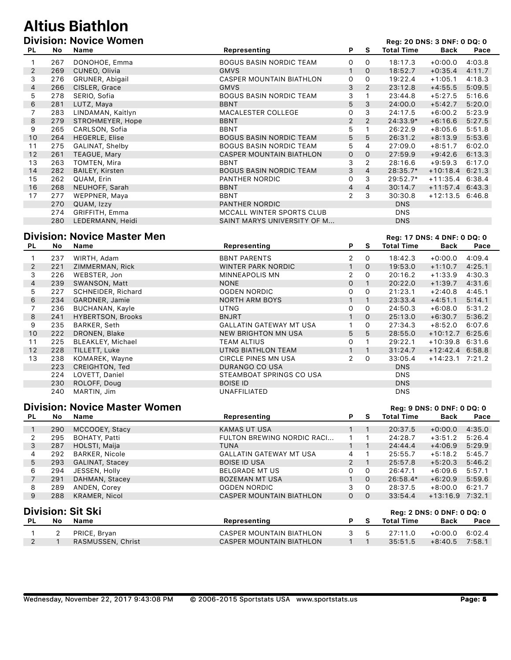# **Altius Biathlon**

|                |     | <b>Division: Novice Women</b> |                                |                |                |                   | Reg: 20 DNS: 3 DNF: 0 DQ: 0 |        |
|----------------|-----|-------------------------------|--------------------------------|----------------|----------------|-------------------|-----------------------------|--------|
| PL             | No  | Name                          | Representing                   | P.             | S              | <b>Total Time</b> | Back                        | Pace   |
|                | 267 | DONOHOE, Emma                 | <b>BOGUS BASIN NORDIC TEAM</b> | 0              | $\mathsf{O}$   | 18:17.3           | $+0:00.0$                   | 4:03.8 |
| 2              | 269 | CUNEO, Olivia                 | <b>GMVS</b>                    | $\mathbf{1}$   | $\Omega$       | 18:52.7           | $+0:35.4$                   | 4:11.7 |
| 3              | 276 | GRUNER, Abigail               | CASPER MOUNTAIN BIATHLON       | 0              | 0              | 19:22.4           | $+1:05.1$                   | 4:18.3 |
| $\overline{4}$ | 266 | CISLER, Grace                 | <b>GMVS</b>                    | 3              | 2              | 23:12.8           | $+4:55.5$                   | 5:09.5 |
| 5              | 278 | SERIO, Sofia                  | <b>BOGUS BASIN NORDIC TEAM</b> | 3              |                | 23:44.8           | $+5:27.5$                   | 5:16.6 |
| 6              | 281 | LUTZ, Maya                    | <b>BBNT</b>                    | 5              | 3              | 24:00.0           | $+5:42.7$                   | 5:20.0 |
| 7              | 283 | LINDAMAN, Kaitlyn             | <b>MACALESTER COLLEGE</b>      | 0              | 3              | 24:17.5           | $+6:00.2$                   | 5:23.9 |
| 8              | 279 | STROHMEYER, Hope              | <b>BBNT</b>                    | $\overline{2}$ | 2              | 24:33.9*          | $+6:16.6$                   | 5:27.5 |
| 9              | 265 | CARLSON, Sofia                | <b>BBNT</b>                    | 5              |                | 26:22.9           | $+8:05.6$                   | 5:51.8 |
| 10             | 264 | HEGERLE, Elise                | <b>BOGUS BASIN NORDIC TEAM</b> | 5              | 5              | 26:31.2           | $+8:13.9$                   | 5:53.6 |
| 11             | 275 | GALINAT, Shelby               | <b>BOGUS BASIN NORDIC TEAM</b> | 5              | 4              | 27:09.0           | $+8:51.7$                   | 6:02.0 |
| 12             | 261 | TEAGUE, Mary                  | CASPER MOUNTAIN BIATHLON       | 0              | $\mathbf{O}$   | 27:59.9           | $+9:42.6$                   | 6:13.3 |
| 13             | 263 | TOMTEN, Mira                  | <b>BBNT</b>                    | 3              | $\overline{2}$ | 28:16.6           | $+9:59.3$                   | 6:17.0 |
| 14             | 282 | <b>BAILEY, Kirsten</b>        | <b>BOGUS BASIN NORDIC TEAM</b> | 3              | $\overline{4}$ | $28:35.7*$        | $+10:18.4$ 6:21.3           |        |
| 15             | 262 | QUAM, Erin                    | PANTHER NORDIC                 | 0              | 3              | $29:52.7*$        | $+11:35.4$ 6:38.4           |        |
| 16             | 268 | NEUHOFF, Sarah                | <b>BBNT</b>                    | 4              | 4              | 30:14.7           | $+11:57.4$ 6:43.3           |        |
| 17             | 277 | WEPPNER, Maya                 | <b>BBNT</b>                    | 2              | 3              | 30:30.8           | $+12:13.5$ 6:46.8           |        |
|                | 270 | QUAM, Izzy                    | PANTHER NORDIC                 |                |                | <b>DNS</b>        |                             |        |
|                | 274 | GRIFFITH, Emma                | MCCALL WINTER SPORTS CLUB      |                |                | <b>DNS</b>        |                             |        |
|                | 280 | LEDERMANN, Heidi              | SAINT MARYS UNIVERSITY OF M    |                |                | <b>DNS</b>        |                             |        |

#### **Division: Novice Master Men Reg: 17 DNS: 4 DNF: 0 DQ: 0**

| PL.                   | No  | Name                     | Representing                   | P | s            | <b>Total Time</b> | <b>Back</b>       | Pace   |
|-----------------------|-----|--------------------------|--------------------------------|---|--------------|-------------------|-------------------|--------|
|                       | 237 | WIRTH, Adam              | <b>BBNT PARENTS</b>            | 2 | $\circ$      | 18:42.3           | $+0:00.0$         | 4:09.4 |
| $\mathbf{2}^{\prime}$ | 221 | ZIMMERMAN, Rick          | WINTER PARK NORDIC             |   | 0            | 19:53.0           | $+1:10.7$         | 4:25.1 |
| 3                     | 226 | WEBSTER, Jon             | MINNEAPOLIS MN                 | 2 | 0            | 20:16.2           | $+1:33.9$         | 4:30.3 |
| 4                     | 239 | SWANSON, Matt            | <b>NONE</b>                    | 0 | $\mathbf{1}$ | 20:22.0           | $+1:39.7$         | 4:31.6 |
| 5                     | 227 | SCHNEIDER, Richard       | OGDEN NORDIC                   | 0 | 0            | 21:23.1           | $+2:40.8$         | 4:45.1 |
| 6                     | 234 | GARDNER, Jamie           | <b>NORTH ARM BOYS</b>          |   |              | 23:33.4           | $+4:51.1$         | 5:14.1 |
|                       | 236 | <b>BUCHANAN, Kayle</b>   | <b>UTNG</b>                    | 0 | $\Omega$     | 24:50.3           | $+6:08.0$         | 5:31.2 |
| 8                     | 241 | <b>HYBERTSON, Brooks</b> | <b>BNJRT</b>                   |   | $\mathsf{O}$ | 25:13.0           | $+6:30.7$         | 5:36.2 |
| 9                     | 235 | BARKER, Seth             | <b>GALLATIN GATEWAY MT USA</b> |   | $\Omega$     | 27:34.3           | $+8:52.0$         | 6:07.6 |
| 10 <sup>°</sup>       | 222 | DRONEN, Blake            | NEW BRIGHTON MN USA            | 5 | 5            | 28:55.0           | $+10:12.7$ 6:25.6 |        |
| 11                    | 225 | BLEAKLEY, Michael        | TEAM ALTIUS                    | 0 | 1            | 29:22.1           | $+10:39.8$ 6:31.6 |        |
| $12 \overline{ }$     | 228 | TILLETT, Luke            | UTNG BIATHLON TEAM             |   |              | 31:24.7           | $+12:42.4$ 6:58.8 |        |
| 13                    | 238 | KOMAREK, Wayne           | CIRCLE PINES MN USA            | 2 | $\circ$      | 33:05.4           | $+14:23.1$ 7:21.2 |        |
|                       | 223 | CREIGHTON, Ted           | DURANGO CO USA                 |   |              | <b>DNS</b>        |                   |        |
|                       | 224 | LOVETT, Daniel           | STEAMBOAT SPRINGS CO USA       |   |              | <b>DNS</b>        |                   |        |
|                       | 230 | ROLOFF, Doug             | <b>BOISE ID</b>                |   |              | <b>DNS</b>        |                   |        |
|                       | 240 | MARTIN, Jim              | UNAFFILIATED                   |   |              | <b>DNS</b>        |                   |        |

#### **Division: Novice Master Women Register 2008 Reg: 9 DNS: 0 DNF: 0 DQ: 0**

| PL.                                                                                                                                  | No             | Name                   | Representing                    | P            | S.           | <b>Total Time</b> | <b>Back</b> | Pace   |
|--------------------------------------------------------------------------------------------------------------------------------------|----------------|------------------------|---------------------------------|--------------|--------------|-------------------|-------------|--------|
|                                                                                                                                      | 290            | MCCOOEY, Stacy         | <b>KAMAS UT USA</b>             |              | 1            | 20:37.5           | $+0:00.0$   | 4:35.0 |
| 2                                                                                                                                    | 295            | BOHATY, Patti          | FULTON BREWING NORDIC RACI      |              |              | 24:28.7           | $+3:51.2$   | 5:26.4 |
| 3                                                                                                                                    | 287            | HOLSTI, Maija          | <b>TUNA</b>                     |              | 1            | 24:44.4           | $+4:06.9$   | 5:29.9 |
| 4                                                                                                                                    | 292            | <b>BARKER, Nicole</b>  | <b>GALLATIN GATEWAY MT USA</b>  | 4            |              | 25:55.7           | $+5:18.2$   | 5:45.7 |
| 5                                                                                                                                    | 293            | <b>GALINAT, Stacey</b> | <b>BOISE ID USA</b>             | $\mathbf{2}$ | $\mathbf{1}$ | 25:57.8           | $+5:20.3$   | 5:46.2 |
| 6                                                                                                                                    | 294            | JESSEN, Holly          | <b>BELGRADE MT US</b>           | 0            | $\mathsf{O}$ | 26:47.1           | $+6:09.6$   | 5:57.1 |
| 7                                                                                                                                    | 291            | DAHMAN, Stacey         | <b>BOZEMAN MT USA</b>           |              | $\Omega$     | 26:58.4*          | $+6:20.9$   | 5:59.6 |
| 8                                                                                                                                    | 289            | ANDEN, Corey           | OGDEN NORDIC                    | 3            | $\Omega$     | 28:37.5           | $+8:00.0$   | 6:21.7 |
| 9                                                                                                                                    | 288            | KRAMER, Nicol          | <b>CASPER MOUNTAIN BIATHLON</b> | $\mathsf{O}$ | $\mathsf{O}$ | 33:54.4           | $+13:16.9$  | 7:32.1 |
| <b>Division: Sit Ski</b><br><b>Req: 2 DNS: 0 DNF: 0 DQ: 0</b><br>Representing<br><b>Total Time</b><br>No.<br>Name<br>P.<br>S.<br>PL. |                |                        |                                 | Back         | Pace         |                   |             |        |
|                                                                                                                                      |                |                        |                                 |              |              |                   |             |        |
|                                                                                                                                      | $\overline{2}$ | PRICE, Bryan           | CASPER MOUNTAIN BIATHLON        | 3            | 5            | 27:11.0           | $+0:00.0$   | 6:02.4 |
| 2                                                                                                                                    |                | RASMUSSEN, Christ      | <b>CASPER MOUNTAIN BIATHLON</b> |              | 1            | 35:51.5           | $+8:40.5$   | 7:58.1 |